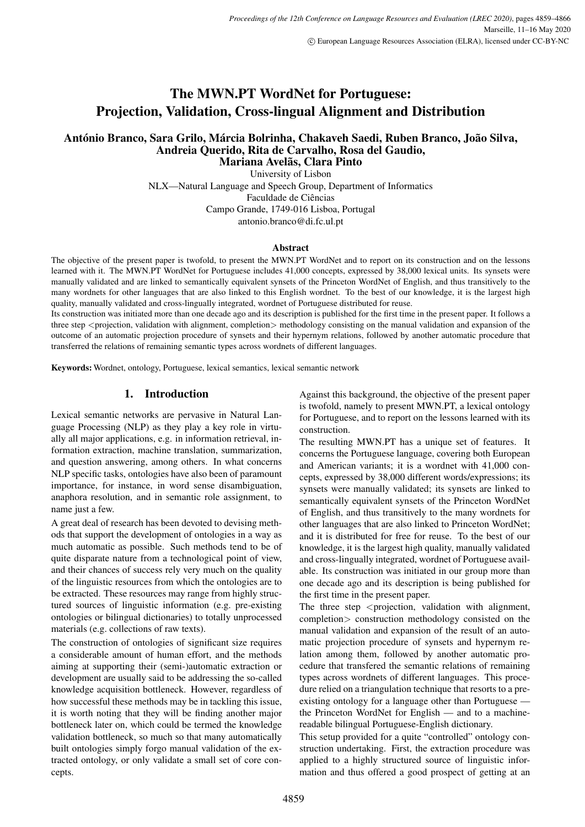# The MWN.PT WordNet for Portuguese: Projection, Validation, Cross-lingual Alignment and Distribution

#### António Branco, Sara Grilo, Márcia Bolrinha, Chakaveh Saedi, Ruben Branco, João Silva, Andreia Querido, Rita de Carvalho, Rosa del Gaudio, Mariana Avelãs, Clara Pinto

University of Lisbon NLX—Natural Language and Speech Group, Department of Informatics Faculdade de Ciências Campo Grande, 1749-016 Lisboa, Portugal antonio.branco@di.fc.ul.pt

#### **Abstract**

The objective of the present paper is twofold, to present the MWN.PT WordNet and to report on its construction and on the lessons learned with it. The MWN.PT WordNet for Portuguese includes 41,000 concepts, expressed by 38,000 lexical units. Its synsets were manually validated and are linked to semantically equivalent synsets of the Princeton WordNet of English, and thus transitively to the many wordnets for other languages that are also linked to this English wordnet. To the best of our knowledge, it is the largest high quality, manually validated and cross-lingually integrated, wordnet of Portuguese distributed for reuse.

Its construction was initiated more than one decade ago and its description is published for the first time in the present paper. It follows a three step <projection, validation with alignment, completion> methodology consisting on the manual validation and expansion of the outcome of an automatic projection procedure of synsets and their hypernym relations, followed by another automatic procedure that transferred the relations of remaining semantic types across wordnets of different languages.

Keywords: Wordnet, ontology, Portuguese, lexical semantics, lexical semantic network

#### 1. Introduction

Lexical semantic networks are pervasive in Natural Language Processing (NLP) as they play a key role in virtually all major applications, e.g. in information retrieval, information extraction, machine translation, summarization, and question answering, among others. In what concerns NLP specific tasks, ontologies have also been of paramount importance, for instance, in word sense disambiguation, anaphora resolution, and in semantic role assignment, to name just a few.

A great deal of research has been devoted to devising methods that support the development of ontologies in a way as much automatic as possible. Such methods tend to be of quite disparate nature from a technological point of view, and their chances of success rely very much on the quality of the linguistic resources from which the ontologies are to be extracted. These resources may range from highly structured sources of linguistic information (e.g. pre-existing ontologies or bilingual dictionaries) to totally unprocessed materials (e.g. collections of raw texts).

The construction of ontologies of significant size requires a considerable amount of human effort, and the methods aiming at supporting their (semi-)automatic extraction or development are usually said to be addressing the so-called knowledge acquisition bottleneck. However, regardless of how successful these methods may be in tackling this issue, it is worth noting that they will be finding another major bottleneck later on, which could be termed the knowledge validation bottleneck, so much so that many automatically built ontologies simply forgo manual validation of the extracted ontology, or only validate a small set of core concepts.

Against this background, the objective of the present paper is twofold, namely to present MWN.PT, a lexical ontology for Portuguese, and to report on the lessons learned with its construction.

The resulting MWN.PT has a unique set of features. It concerns the Portuguese language, covering both European and American variants; it is a wordnet with 41,000 concepts, expressed by 38,000 different words/expressions; its synsets were manually validated; its synsets are linked to semantically equivalent synsets of the Princeton WordNet of English, and thus transitively to the many wordnets for other languages that are also linked to Princeton WordNet; and it is distributed for free for reuse. To the best of our knowledge, it is the largest high quality, manually validated and cross-lingually integrated, wordnet of Portuguese available. Its construction was initiated in our group more than one decade ago and its description is being published for the first time in the present paper.

The three step  $\leq$  projection, validation with alignment, completion> construction methodology consisted on the manual validation and expansion of the result of an automatic projection procedure of synsets and hypernym relation among them, followed by another automatic procedure that transfered the semantic relations of remaining types across wordnets of different languages. This procedure relied on a triangulation technique that resorts to a preexisting ontology for a language other than Portuguese the Princeton WordNet for English — and to a machinereadable bilingual Portuguese-English dictionary.

This setup provided for a quite "controlled" ontology construction undertaking. First, the extraction procedure was applied to a highly structured source of linguistic information and thus offered a good prospect of getting at an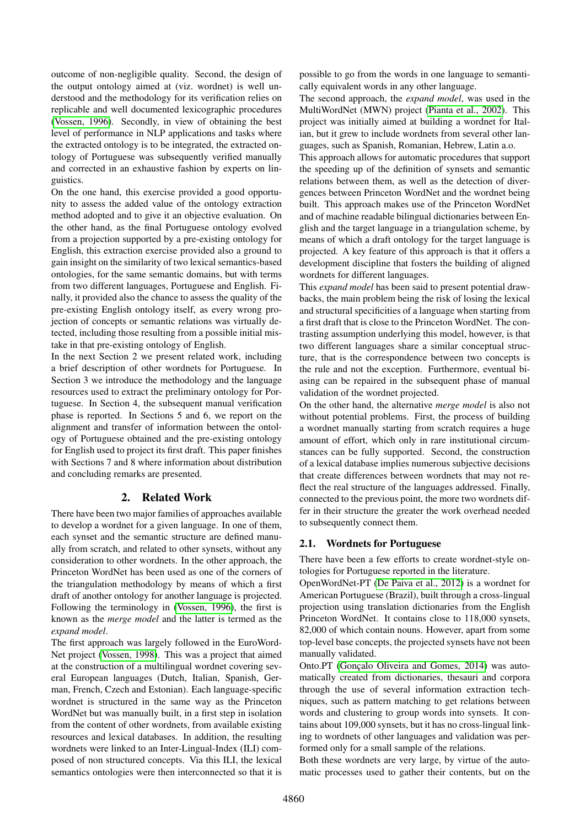outcome of non-negligible quality. Second, the design of the output ontology aimed at (viz. wordnet) is well understood and the methodology for its verification relies on replicable and well documented lexicographic procedures [\(Vossen, 1996\)](#page-7-0). Secondly, in view of obtaining the best level of performance in NLP applications and tasks where the extracted ontology is to be integrated, the extracted ontology of Portuguese was subsequently verified manually and corrected in an exhaustive fashion by experts on linguistics.

On the one hand, this exercise provided a good opportunity to assess the added value of the ontology extraction method adopted and to give it an objective evaluation. On the other hand, as the final Portuguese ontology evolved from a projection supported by a pre-existing ontology for English, this extraction exercise provided also a ground to gain insight on the similarity of two lexical semantics-based ontologies, for the same semantic domains, but with terms from two different languages, Portuguese and English. Finally, it provided also the chance to assess the quality of the pre-existing English ontology itself, as every wrong projection of concepts or semantic relations was virtually detected, including those resulting from a possible initial mistake in that pre-existing ontology of English.

In the next Section 2 we present related work, including a brief description of other wordnets for Portuguese. In Section 3 we introduce the methodology and the language resources used to extract the preliminary ontology for Portuguese. In Section 4, the subsequent manual verification phase is reported. In Sections 5 and 6, we report on the alignment and transfer of information between the ontology of Portuguese obtained and the pre-existing ontology for English used to project its first draft. This paper finishes with Sections 7 and 8 where information about distribution and concluding remarks are presented.

# 2. Related Work

There have been two major families of approaches available to develop a wordnet for a given language. In one of them, each synset and the semantic structure are defined manually from scratch, and related to other synsets, without any consideration to other wordnets. In the other approach, the Princeton WordNet has been used as one of the corners of the triangulation methodology by means of which a first draft of another ontology for another language is projected. Following the terminology in [\(Vossen, 1996\)](#page-7-0), the first is known as the *merge model* and the latter is termed as the *expand model*.

The first approach was largely followed in the EuroWord-Net project [\(Vossen, 1998\)](#page-7-1). This was a project that aimed at the construction of a multilingual wordnet covering several European languages (Dutch, Italian, Spanish, German, French, Czech and Estonian). Each language-specific wordnet is structured in the same way as the Princeton WordNet but was manually built, in a first step in isolation from the content of other wordnets, from available existing resources and lexical databases. In addition, the resulting wordnets were linked to an Inter-Lingual-Index (ILI) composed of non structured concepts. Via this ILI, the lexical semantics ontologies were then interconnected so that it is possible to go from the words in one language to semantically equivalent words in any other language.

The second approach, the *expand model*, was used in the MultiWordNet (MWN) project [\(Pianta et al., 2002\)](#page-7-2). This project was initially aimed at building a wordnet for Italian, but it grew to include wordnets from several other languages, such as Spanish, Romanian, Hebrew, Latin a.o.

This approach allows for automatic procedures that support the speeding up of the definition of synsets and semantic relations between them, as well as the detection of divergences between Princeton WordNet and the wordnet being built. This approach makes use of the Princeton WordNet and of machine readable bilingual dictionaries between English and the target language in a triangulation scheme, by means of which a draft ontology for the target language is projected. A key feature of this approach is that it offers a development discipline that fosters the building of aligned wordnets for different languages.

This *expand model* has been said to present potential drawbacks, the main problem being the risk of losing the lexical and structural specificities of a language when starting from a first draft that is close to the Princeton WordNet. The contrasting assumption underlying this model, however, is that two different languages share a similar conceptual structure, that is the correspondence between two concepts is the rule and not the exception. Furthermore, eventual biasing can be repaired in the subsequent phase of manual validation of the wordnet projected.

On the other hand, the alternative *merge model* is also not without potential problems. First, the process of building a wordnet manually starting from scratch requires a huge amount of effort, which only in rare institutional circumstances can be fully supported. Second, the construction of a lexical database implies numerous subjective decisions that create differences between wordnets that may not reflect the real structure of the languages addressed. Finally, connected to the previous point, the more two wordnets differ in their structure the greater the work overhead needed to subsequently connect them.

### 2.1. Wordnets for Portuguese

There have been a few efforts to create wordnet-style ontologies for Portuguese reported in the literature.

OpenWordNet-PT [\(De Paiva et al., 2012\)](#page-6-0) is a wordnet for American Portuguese (Brazil), built through a cross-lingual projection using translation dictionaries from the English Princeton WordNet. It contains close to 118,000 synsets, 82,000 of which contain nouns. However, apart from some top-level base concepts, the projected synsets have not been manually validated.

Onto.PT (Gonçalo Oliveira and Gomes, 2014) was automatically created from dictionaries, thesauri and corpora through the use of several information extraction techniques, such as pattern matching to get relations between words and clustering to group words into synsets. It contains about 109,000 synsets, but it has no cross-lingual linking to wordnets of other languages and validation was performed only for a small sample of the relations.

Both these wordnets are very large, by virtue of the automatic processes used to gather their contents, but on the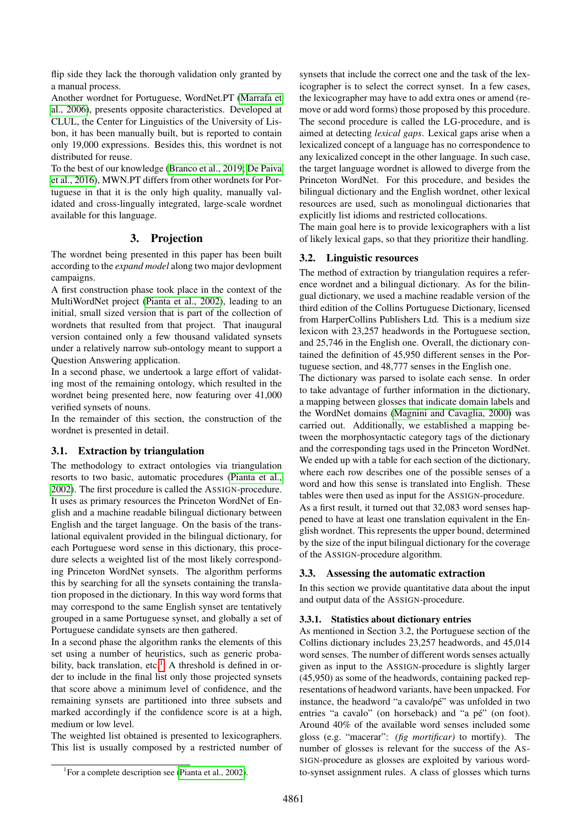flip side they lack the thorough validation only granted by a manual process.

Another wordnet for Portuguese, WordNet.PT [\(Marrafa et](#page-7-3) [al., 2006\)](#page-7-3), presents opposite characteristics. Developed at CLUL, the Center for Linguistics of the University of Lisbon, it has been manually built, but is reported to contain only 19,000 expressions. Besides this, this wordnet is not distributed for reuse.

To the best of our knowledge [\(Branco et al., 2019;](#page-6-2) [De Paiva](#page-6-3) [et al., 2016\)](#page-6-3), MWN.PT differs from other wordnets for Portuguese in that it is the only high quality, manually validated and cross-lingually integrated, large-scale wordnet available for this language.

### 3. Projection

The wordnet being presented in this paper has been built according to the *expand model* along two major devlopment campaigns.

A first construction phase took place in the context of the MultiWordNet project [\(Pianta et al., 2002\)](#page-7-2), leading to an initial, small sized version that is part of the collection of wordnets that resulted from that project. That inaugural version contained only a few thousand validated synsets under a relatively narrow sub-ontology meant to support a Question Answering application.

In a second phase, we undertook a large effort of validating most of the remaining ontology, which resulted in the wordnet being presented here, now featuring over 41,000 verified synsets of nouns.

In the remainder of this section, the construction of the wordnet is presented in detail.

### 3.1. Extraction by triangulation

The methodology to extract ontologies via triangulation resorts to two basic, automatic procedures [\(Pianta et al.,](#page-7-2) [2002\)](#page-7-2). The first procedure is called the ASSIGN-procedure. It uses as primary resources the Princeton WordNet of English and a machine readable bilingual dictionary between English and the target language. On the basis of the translational equivalent provided in the bilingual dictionary, for each Portuguese word sense in this dictionary, this procedure selects a weighted list of the most likely corresponding Princeton WordNet synsets. The algorithm performs this by searching for all the synsets containing the translation proposed in the dictionary. In this way word forms that may correspond to the same English synset are tentatively grouped in a same Portuguese synset, and globally a set of Portuguese candidate synsets are then gathered.

In a second phase the algorithm ranks the elements of this set using a number of heuristics, such as generic proba-bility, back translation, etc.<sup>[1](#page-2-0)</sup> A threshold is defined in order to include in the final list only those projected synsets that score above a minimum level of confidence, and the remaining synsets are partitioned into three subsets and marked accordingly if the confidence score is at a high, medium or low level.

The weighted list obtained is presented to lexicographers. This list is usually composed by a restricted number of

<span id="page-2-0"></span><sup>1</sup> For a complete description see [\(Pianta et al., 2002\)](#page-7-2).

synsets that include the correct one and the task of the lexicographer is to select the correct synset. In a few cases, the lexicographer may have to add extra ones or amend (remove or add word forms) those proposed by this procedure. The second procedure is called the LG-procedure, and is aimed at detecting *lexical gaps*. Lexical gaps arise when a lexicalized concept of a language has no correspondence to any lexicalized concept in the other language. In such case, the target language wordnet is allowed to diverge from the Princeton WordNet. For this procedure, and besides the bilingual dictionary and the English wordnet, other lexical resources are used, such as monolingual dictionaries that explicitly list idioms and restricted collocations.

The main goal here is to provide lexicographers with a list of likely lexical gaps, so that they prioritize their handling.

#### 3.2. Linguistic resources

The method of extraction by triangulation requires a reference wordnet and a bilingual dictionary. As for the bilingual dictionary, we used a machine readable version of the third edition of the Collins Portuguese Dictionary, licensed from HarperCollins Publishers Ltd. This is a medium size lexicon with 23,257 headwords in the Portuguese section, and 25,746 in the English one. Overall, the dictionary contained the definition of 45,950 different senses in the Portuguese section, and 48,777 senses in the English one.

The dictionary was parsed to isolate each sense. In order to take advantage of further information in the dictionary, a mapping between glosses that indicate domain labels and the WordNet domains [\(Magnini and Cavaglia, 2000\)](#page-6-4) was carried out. Additionally, we established a mapping between the morphosyntactic category tags of the dictionary and the corresponding tags used in the Princeton WordNet. We ended up with a table for each section of the dictionary, where each row describes one of the possible senses of a word and how this sense is translated into English. These tables were then used as input for the ASSIGN-procedure. As a first result, it turned out that 32,083 word senses happened to have at least one translation equivalent in the English wordnet. This represents the upper bound, determined by the size of the input bilingual dictionary for the coverage of the ASSIGN-procedure algorithm.

#### 3.3. Assessing the automatic extraction

In this section we provide quantitative data about the input and output data of the ASSIGN-procedure.

#### 3.3.1. Statistics about dictionary entries

As mentioned in Section 3.2, the Portuguese section of the Collins dictionary includes 23,257 headwords, and 45,014 word senses. The number of different words senses actually given as input to the ASSIGN-procedure is slightly larger (45,950) as some of the headwords, containing packed representations of headword variants, have been unpacked. For instance, the headword "a cavalo/pé" was unfolded in two entries "a cavalo" (on horseback) and "a pé" (on foot). Around 40% of the available word senses included some gloss (e.g. "macerar": *(fig mortificar)* to mortify). The number of glosses is relevant for the success of the AS-SIGN-procedure as glosses are exploited by various wordto-synset assignment rules. A class of glosses which turns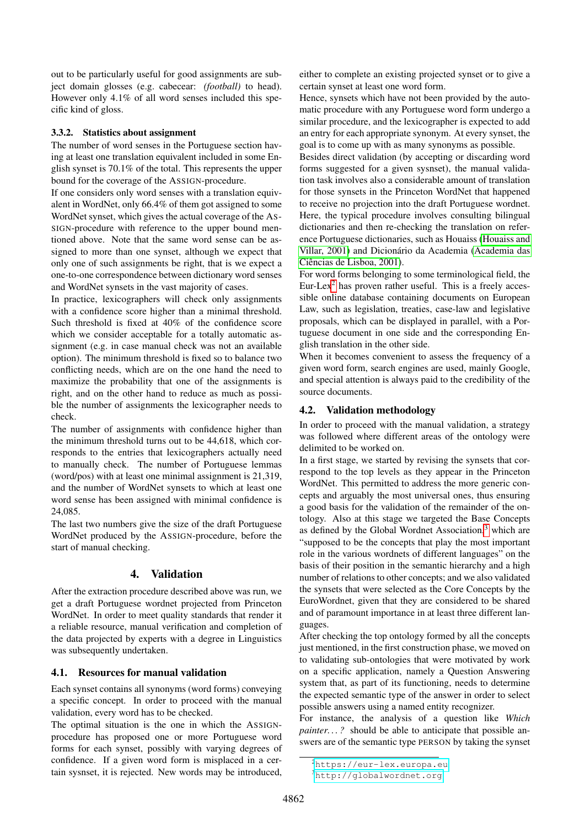out to be particularly useful for good assignments are subject domain glosses (e.g. cabecear: *(football)* to head). However only 4.1% of all word senses included this specific kind of gloss.

#### 3.3.2. Statistics about assignment

The number of word senses in the Portuguese section having at least one translation equivalent included in some English synset is 70.1% of the total. This represents the upper bound for the coverage of the ASSIGN-procedure.

If one considers only word senses with a translation equivalent in WordNet, only 66.4% of them got assigned to some WordNet synset, which gives the actual coverage of the AS-SIGN-procedure with reference to the upper bound mentioned above. Note that the same word sense can be assigned to more than one synset, although we expect that only one of such assignments be right, that is we expect a one-to-one correspondence between dictionary word senses and WordNet synsets in the vast majority of cases.

In practice, lexicographers will check only assignments with a confidence score higher than a minimal threshold. Such threshold is fixed at 40% of the confidence score which we consider acceptable for a totally automatic assignment (e.g. in case manual check was not an available option). The minimum threshold is fixed so to balance two conflicting needs, which are on the one hand the need to maximize the probability that one of the assignments is right, and on the other hand to reduce as much as possible the number of assignments the lexicographer needs to check.

The number of assignments with confidence higher than the minimum threshold turns out to be 44,618, which corresponds to the entries that lexicographers actually need to manually check. The number of Portuguese lemmas (word/pos) with at least one minimal assignment is 21,319, and the number of WordNet synsets to which at least one word sense has been assigned with minimal confidence is 24,085.

The last two numbers give the size of the draft Portuguese WordNet produced by the ASSIGN-procedure, before the start of manual checking.

### 4. Validation

After the extraction procedure described above was run, we get a draft Portuguese wordnet projected from Princeton WordNet. In order to meet quality standards that render it a reliable resource, manual verification and completion of the data projected by experts with a degree in Linguistics was subsequently undertaken.

#### 4.1. Resources for manual validation

Each synset contains all synonyms (word forms) conveying a specific concept. In order to proceed with the manual validation, every word has to be checked.

The optimal situation is the one in which the ASSIGNprocedure has proposed one or more Portuguese word forms for each synset, possibly with varying degrees of confidence. If a given word form is misplaced in a certain sysnset, it is rejected. New words may be introduced, either to complete an existing projected synset or to give a certain synset at least one word form.

Hence, synsets which have not been provided by the automatic procedure with any Portuguese word form undergo a similar procedure, and the lexicographer is expected to add an entry for each appropriate synonym. At every synset, the goal is to come up with as many synonyms as possible.

Besides direct validation (by accepting or discarding word forms suggested for a given sysnset), the manual validation task involves also a considerable amount of translation for those synsets in the Princeton WordNet that happened to receive no projection into the draft Portuguese wordnet. Here, the typical procedure involves consulting bilingual dictionaries and then re-checking the translation on reference Portuguese dictionaries, such as Houaiss [\(Houaiss and](#page-6-5) [Villar, 2001\)](#page-6-5) and Dicionário da Academia [\(Academia das](#page-6-6) Ciências de Lisboa, 2001).

For word forms belonging to some terminological field, the Eur-Lex<sup>[2](#page-3-0)</sup> has proven rather useful. This is a freely accessible online database containing documents on European Law, such as legislation, treaties, case-law and legislative proposals, which can be displayed in parallel, with a Portuguese document in one side and the corresponding English translation in the other side.

When it becomes convenient to assess the frequency of a given word form, search engines are used, mainly Google, and special attention is always paid to the credibility of the source documents.

#### 4.2. Validation methodology

In order to proceed with the manual validation, a strategy was followed where different areas of the ontology were delimited to be worked on.

In a first stage, we started by revising the synsets that correspond to the top levels as they appear in the Princeton WordNet. This permitted to address the more generic concepts and arguably the most universal ones, thus ensuring a good basis for the validation of the remainder of the ontology. Also at this stage we targeted the Base Concepts as defined by the Global Wordnet Association, $3$  which are "supposed to be the concepts that play the most important role in the various wordnets of different languages" on the basis of their position in the semantic hierarchy and a high number of relations to other concepts; and we also validated the synsets that were selected as the Core Concepts by the EuroWordnet, given that they are considered to be shared and of paramount importance in at least three different languages.

After checking the top ontology formed by all the concepts just mentioned, in the first construction phase, we moved on to validating sub-ontologies that were motivated by work on a specific application, namely a Question Answering system that, as part of its functioning, needs to determine the expected semantic type of the answer in order to select possible answers using a named entity recognizer.

For instance, the analysis of a question like *Which painter...?* should be able to anticipate that possible answers are of the semantic type PERSON by taking the synset

<span id="page-3-0"></span><sup>2</sup><https://eur-lex.europa.eu>

<span id="page-3-1"></span><sup>3</sup><http://globalwordnet.org>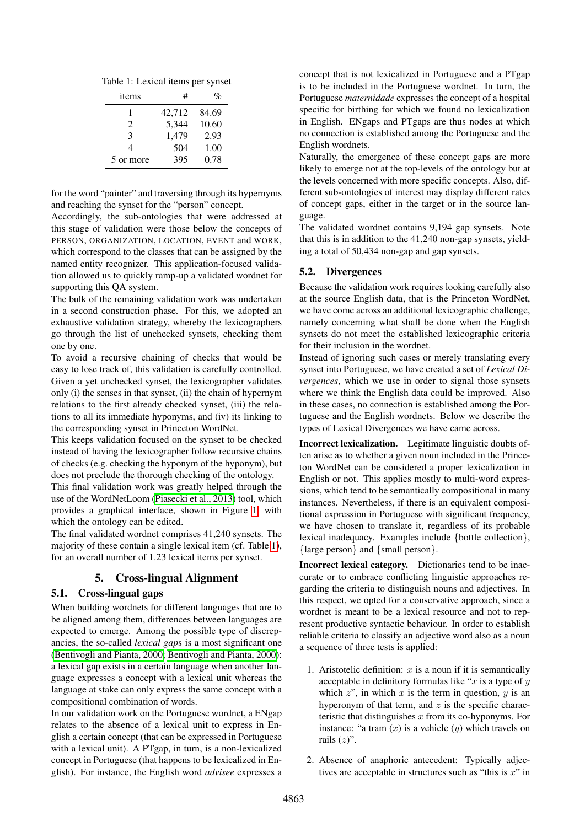Table 1: Lexical items per synset

<span id="page-4-0"></span>

| items        | #      |       |
|--------------|--------|-------|
|              | 42,712 | 84.69 |
| 2            | 5,344  | 10.60 |
| $\mathbf{3}$ | 1,479  | 2.93  |
| 4            | 504    | 1.00  |
| 5 or more    | 395    | 0.78  |

for the word "painter" and traversing through its hypernyms and reaching the synset for the "person" concept.

Accordingly, the sub-ontologies that were addressed at this stage of validation were those below the concepts of PERSON, ORGANIZATION, LOCATION, EVENT and WORK, which correspond to the classes that can be assigned by the named entity recognizer. This application-focused validation allowed us to quickly ramp-up a validated wordnet for supporting this QA system.

The bulk of the remaining validation work was undertaken in a second construction phase. For this, we adopted an exhaustive validation strategy, whereby the lexicographers go through the list of unchecked synsets, checking them one by one.

To avoid a recursive chaining of checks that would be easy to lose track of, this validation is carefully controlled. Given a yet unchecked synset, the lexicographer validates only (i) the senses in that synset, (ii) the chain of hypernym relations to the first already checked synset, (iii) the relations to all its immediate hyponyms, and (iv) its linking to the corresponding synset in Princeton WordNet.

This keeps validation focused on the synset to be checked instead of having the lexicographer follow recursive chains of checks (e.g. checking the hyponym of the hyponym), but does not preclude the thorough checking of the ontology.

This final validation work was greatly helped through the use of the WordNetLoom [\(Piasecki et al., 2013\)](#page-7-4) tool, which provides a graphical interface, shown in Figure [1,](#page-5-0) with which the ontology can be edited.

The final validated wordnet comprises 41,240 synsets. The majority of these contain a single lexical item (cf. Table [1\)](#page-4-0), for an overall number of 1.23 lexical items per synset.

### 5. Cross-lingual Alignment

#### 5.1. Cross-lingual gaps

When building wordnets for different languages that are to be aligned among them, differences between languages are expected to emerge. Among the possible type of discrepancies, the so-called *lexical gap*s is a most significant one [\(Bentivogli and Pianta, 2000; Bentivogli and Pianta, 2000\)](#page-6-7): a lexical gap exists in a certain language when another language expresses a concept with a lexical unit whereas the language at stake can only express the same concept with a compositional combination of words.

In our validation work on the Portuguese wordnet, a ENgap relates to the absence of a lexical unit to express in English a certain concept (that can be expressed in Portuguese with a lexical unit). A PTgap, in turn, is a non-lexicalized concept in Portuguese (that happens to be lexicalized in English). For instance, the English word *advisee* expresses a concept that is not lexicalized in Portuguese and a PTgap is to be included in the Portuguese wordnet. In turn, the Portuguese *maternidade* expresses the concept of a hospital specific for birthing for which we found no lexicalization in English. ENgaps and PTgaps are thus nodes at which no connection is established among the Portuguese and the English wordnets.

Naturally, the emergence of these concept gaps are more likely to emerge not at the top-levels of the ontology but at the levels concerned with more specific concepts. Also, different sub-ontologies of interest may display different rates of concept gaps, either in the target or in the source language.

The validated wordnet contains 9,194 gap synsets. Note that this is in addition to the 41,240 non-gap synsets, yielding a total of 50,434 non-gap and gap synsets.

#### 5.2. Divergences

Because the validation work requires looking carefully also at the source English data, that is the Princeton WordNet, we have come across an additional lexicographic challenge, namely concerning what shall be done when the English synsets do not meet the established lexicographic criteria for their inclusion in the wordnet.

Instead of ignoring such cases or merely translating every synset into Portuguese, we have created a set of *Lexical Divergences*, which we use in order to signal those synsets where we think the English data could be improved. Also in these cases, no connection is established among the Portuguese and the English wordnets. Below we describe the types of Lexical Divergences we have came across.

Incorrect lexicalization. Legitimate linguistic doubts often arise as to whether a given noun included in the Princeton WordNet can be considered a proper lexicalization in English or not. This applies mostly to multi-word expressions, which tend to be semantically compositional in many instances. Nevertheless, if there is an equivalent compositional expression in Portuguese with significant frequency, we have chosen to translate it, regardless of its probable lexical inadequacy. Examples include {bottle collection}, {large person} and {small person}.

Incorrect lexical category. Dictionaries tend to be inaccurate or to embrace conflicting linguistic approaches regarding the criteria to distinguish nouns and adjectives. In this respect, we opted for a conservative approach, since a wordnet is meant to be a lexical resource and not to represent productive syntactic behaviour. In order to establish reliable criteria to classify an adjective word also as a noun a sequence of three tests is applied:

- 1. Aristotelic definition:  $x$  is a noun if it is semantically acceptable in definitory formulas like " $x$  is a type of  $y$ which  $z$ ", in which  $x$  is the term in question,  $y$  is an hyperonym of that term, and  $z$  is the specific characteristic that distinguishes  $x$  from its co-hyponyms. For instance: "a tram  $(x)$  is a vehicle  $(y)$  which travels on rails  $(z)$ ".
- 2. Absence of anaphoric antecedent: Typically adjectives are acceptable in structures such as "this is  $x$ " in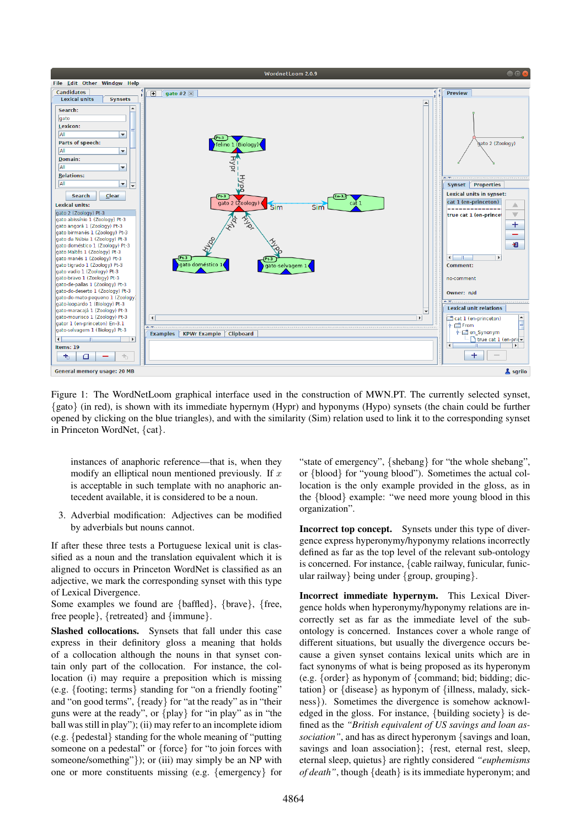

<span id="page-5-0"></span>Figure 1: The WordNetLoom graphical interface used in the construction of MWN.PT. The currently selected synset, {gato} (in red), is shown with its immediate hypernym (Hypr) and hyponyms (Hypo) synsets (the chain could be further opened by clicking on the blue triangles), and with the similarity (Sim) relation used to link it to the corresponding synset in Princeton WordNet, {cat}.

instances of anaphoric reference—that is, when they modify an elliptical noun mentioned previously. If  $x$ is acceptable in such template with no anaphoric antecedent available, it is considered to be a noun.

3. Adverbial modification: Adjectives can be modified by adverbials but nouns cannot.

If after these three tests a Portuguese lexical unit is classified as a noun and the translation equivalent which it is aligned to occurs in Princeton WordNet is classified as an adjective, we mark the corresponding synset with this type of Lexical Divergence.

Some examples we found are {baffled}, {brave}, {free, free people}, {retreated} and {immune}.

Slashed collocations. Synsets that fall under this case express in their definitory gloss a meaning that holds of a collocation although the nouns in that synset contain only part of the collocation. For instance, the collocation (i) may require a preposition which is missing (e.g. {footing; terms} standing for "on a friendly footing" and "on good terms", {ready} for "at the ready" as in "their guns were at the ready", or {play} for "in play" as in "the ball was still in play"); (ii) may refer to an incomplete idiom (e.g. {pedestal} standing for the whole meaning of "putting someone on a pedestal" or {force} for "to join forces with someone/something"}); or (iii) may simply be an NP with one or more constituents missing (e.g. {emergency} for

"state of emergency", {shebang} for "the whole shebang", or {blood} for "young blood"). Sometimes the actual collocation is the only example provided in the gloss, as in the {blood} example: "we need more young blood in this organization".

Incorrect top concept. Synsets under this type of divergence express hyperonymy/hyponymy relations incorrectly defined as far as the top level of the relevant sub-ontology is concerned. For instance, {cable railway, funicular, funicular railway} being under {group, grouping}.

Incorrect immediate hypernym. This Lexical Divergence holds when hyperonymy/hyponymy relations are incorrectly set as far as the immediate level of the subontology is concerned. Instances cover a whole range of different situations, but usually the divergence occurs because a given synset contains lexical units which are in fact synonyms of what is being proposed as its hyperonym (e.g. {order} as hyponym of {command; bid; bidding; dictation} or {disease} as hyponym of {illness, malady, sickness}). Sometimes the divergence is somehow acknowledged in the gloss. For instance, {building society} is defined as the *"British equivalent of US savings and loan association"*, and has as direct hyperonym {savings and loan, savings and loan association}; {rest, eternal rest, sleep, eternal sleep, quietus} are rightly considered *"euphemisms of death"*, though {death} is its immediate hyperonym; and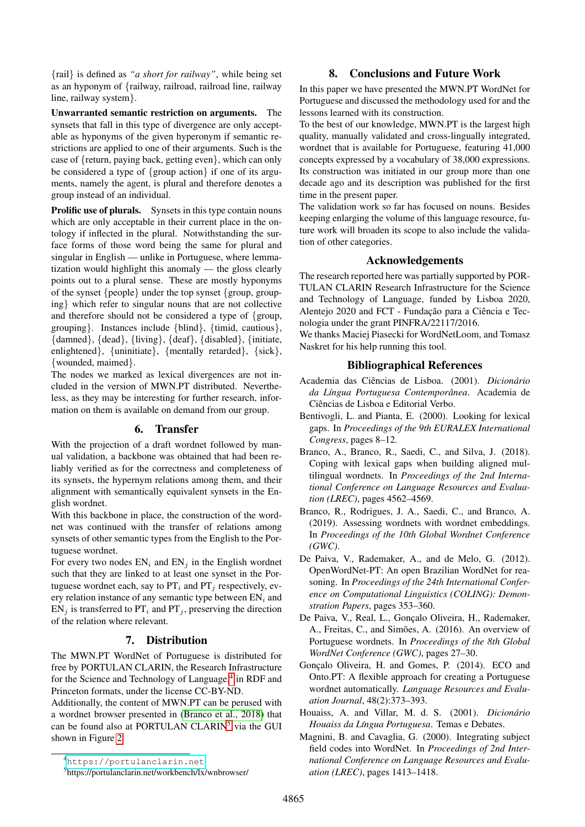{rail} is defined as *"a short for railway"*, while being set as an hyponym of {railway, railroad, railroad line, railway line, railway system}.

Unwarranted semantic restriction on arguments. The synsets that fall in this type of divergence are only acceptable as hyponyms of the given hyperonym if semantic restrictions are applied to one of their arguments. Such is the case of {return, paying back, getting even}, which can only be considered a type of {group action} if one of its arguments, namely the agent, is plural and therefore denotes a group instead of an individual.

Prolific use of plurals. Synsets in this type contain nouns which are only acceptable in their current place in the ontology if inflected in the plural. Notwithstanding the surface forms of those word being the same for plural and singular in English — unlike in Portuguese, where lemmatization would highlight this anomaly — the gloss clearly points out to a plural sense. These are mostly hyponyms of the synset {people} under the top synset {group, grouping} which refer to singular nouns that are not collective and therefore should not be considered a type of {group, grouping}. Instances include {blind}, {timid, cautious}, {damned}, {dead}, {living}, {deaf}, {disabled}, {initiate, enlightened}, {uninitiate}, {mentally retarded}, {sick}, {wounded, maimed}.

The nodes we marked as lexical divergences are not included in the version of MWN.PT distributed. Nevertheless, as they may be interesting for further research, information on them is available on demand from our group.

### 6. Transfer

With the projection of a draft wordnet followed by manual validation, a backbone was obtained that had been reliably verified as for the correctness and completeness of its synsets, the hypernym relations among them, and their alignment with semantically equivalent synsets in the English wordnet.

With this backbone in place, the construction of the wordnet was continued with the transfer of relations among synsets of other semantic types from the English to the Portuguese wordnet.

For every two nodes  $EN_i$  and  $EN_j$  in the English wordnet such that they are linked to at least one synset in the Portuguese wordnet each, say to  $PT_i$  and  $PT_j$  respectively, every relation instance of any semantic type between  $EN_i$  and  $EN_i$  is transferred to  $PT_i$  and  $PT_j$ , preserving the direction of the relation where relevant.

# 7. Distribution

The MWN.PT WordNet of Portuguese is distributed for free by PORTULAN CLARIN, the Research Infrastructure for the Science and Technology of Language,<sup>[4](#page-6-8)</sup> in RDF and Princeton formats, under the license CC-BY-ND.

Additionally, the content of MWN.PT can be perused with a wordnet browser presented in [\(Branco et al., 2018\)](#page-6-9) that can be found also at PORTULAN CLARIN<sup>[5](#page-6-10)</sup> via the GUI shown in Figure [2.](#page-7-5)

# 8. Conclusions and Future Work

In this paper we have presented the MWN.PT WordNet for Portuguese and discussed the methodology used for and the lessons learned with its construction.

To the best of our knowledge, MWN.PT is the largest high quality, manually validated and cross-lingually integrated, wordnet that is available for Portuguese, featuring 41,000 concepts expressed by a vocabulary of 38,000 expressions. Its construction was initiated in our group more than one decade ago and its description was published for the first time in the present paper.

The validation work so far has focused on nouns. Besides keeping enlarging the volume of this language resource, future work will broaden its scope to also include the validation of other categories.

### Acknowledgements

The research reported here was partially supported by POR-TULAN CLARIN Research Infrastructure for the Science and Technology of Language, funded by Lisboa 2020, Alentejo 2020 and FCT - Fundação para a Ciência e Tecnologia under the grant PINFRA/22117/2016.

We thanks Maciej Piasecki for WordNetLoom, and Tomasz Naskret for his help running this tool.

### Bibliographical References

- <span id="page-6-6"></span>Academia das Ciências de Lisboa. (2001). *Dicionário da L´ıngua Portuguesa Contemporanea ˆ* . Academia de Ciências de Lisboa e Editorial Verbo.
- <span id="page-6-7"></span>Bentivogli, L. and Pianta, E. (2000). Looking for lexical gaps. In *Proceedings of the 9th EURALEX International Congress*, pages 8–12.
- <span id="page-6-9"></span>Branco, A., Branco, R., Saedi, C., and Silva, J. (2018). Coping with lexical gaps when building aligned multilingual wordnets. In *Proceedings of the 2nd International Conference on Language Resources and Evaluation (LREC)*, pages 4562–4569.
- <span id="page-6-2"></span>Branco, R., Rodrigues, J. A., Saedi, C., and Branco, A. (2019). Assessing wordnets with wordnet embeddings. In *Proceedings of the 10th Global Wordnet Conference (GWC)*.
- <span id="page-6-0"></span>De Paiva, V., Rademaker, A., and de Melo, G. (2012). OpenWordNet-PT: An open Brazilian WordNet for reasoning. In *Proceedings of the 24th International Conference on Computational Linguistics (COLING): Demonstration Papers*, pages 353–360.
- <span id="page-6-3"></span>De Paiva, V., Real, L., Gonçalo Oliveira, H., Rademaker, A., Freitas, C., and Simões, A. (2016). An overview of Portuguese wordnets. In *Proceedings of the 8th Global WordNet Conference (GWC)*, pages 27–30.
- <span id="page-6-1"></span>Gonçalo Oliveira, H. and Gomes, P. (2014). ECO and Onto.PT: A flexible approach for creating a Portuguese wordnet automatically. *Language Resources and Evaluation Journal*, 48(2):373–393.
- <span id="page-6-5"></span>Houaiss, A. and Villar, M. d. S. (2001). *Dicionário Houaiss da L´ıngua Portuguesa*. Temas e Debates.
- <span id="page-6-4"></span>Magnini, B. and Cavaglia, G. (2000). Integrating subject field codes into WordNet. In *Proceedings of 2nd International Conference on Language Resources and Evaluation (LREC)*, pages 1413–1418.

<span id="page-6-8"></span><sup>4</sup><https://portulanclarin.net>

<span id="page-6-10"></span><sup>5</sup> https://portulanclarin.net/workbench/lx/wnbrowser/